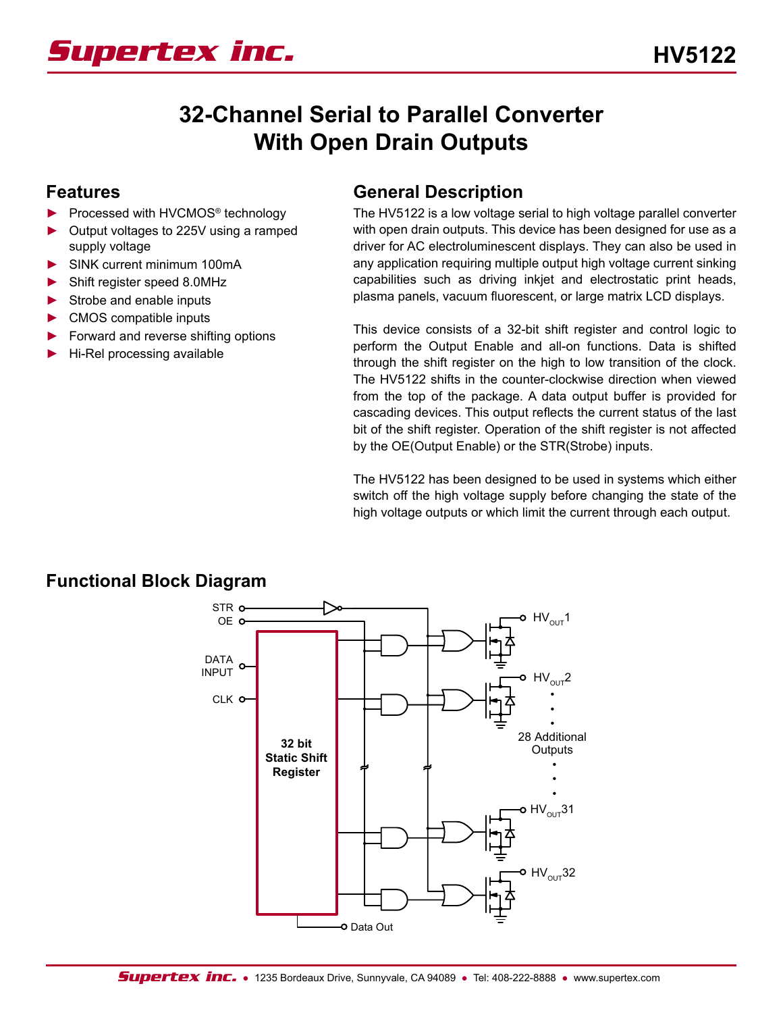

# **32-Channel Serial to Parallel Converter With Open Drain Outputs**

#### **Features**

- Processed with HVCMOS<sup>®</sup> technology
- ► Output voltages to 225V using a ramped supply voltage
- ► SINK current minimum 100mA
- ► Shift register speed 8.0MHz
- Strobe and enable inputs
- ► CMOS compatible inputs
- ► Forward and reverse shifting options
- ► Hi-Rel processing available

#### **General Description**

The HV5122 is a low voltage serial to high voltage parallel converter with open drain outputs. This device has been designed for use as a driver for AC electroluminescent displays. They can also be used in any application requiring multiple output high voltage current sinking capabilities such as driving inkjet and electrostatic print heads, plasma panels, vacuum fluorescent, or large matrix LCD displays.

This device consists of a 32-bit shift register and control logic to perform the Output Enable and all-on functions. Data is shifted through the shift register on the high to low transition of the clock. The HV5122 shifts in the counter-clockwise direction when viewed from the top of the package. A data output buffer is provided for cascading devices. This output reflects the current status of the last bit of the shift register. Operation of the shift register is not affected by the OE(Output Enable) or the STR(Strobe) inputs.

The HV5122 has been designed to be used in systems which either switch off the high voltage supply before changing the state of the high voltage outputs or which limit the current through each output.



#### **Functional Block Diagram**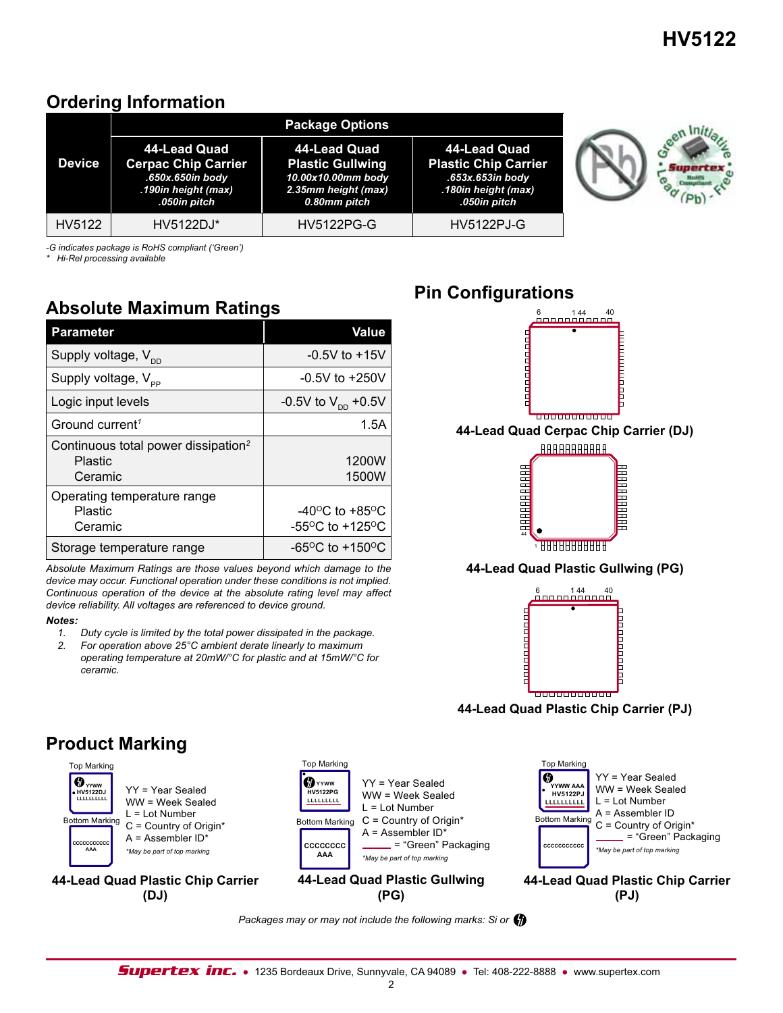## **Ordering Information**

|  | <b>Package Options</b> |                                                                                                       |                                                                                                      |                                                                                                        |  |  |  |  |  |  |  |
|--|------------------------|-------------------------------------------------------------------------------------------------------|------------------------------------------------------------------------------------------------------|--------------------------------------------------------------------------------------------------------|--|--|--|--|--|--|--|
|  | <b>Device</b>          | 44-Lead Quad<br><b>Cerpac Chip Carrier</b><br>.650x.650in body<br>.190in height (max)<br>.050in pitch | 44-Lead Quad<br><b>Plastic Gullwing</b><br>10.00x10.00mm body<br>2.35mm height (max)<br>0.80mm pitch | 44-Lead Quad<br><b>Plastic Chip Carrier</b><br>.653x.653in body<br>.180in height (max)<br>.050in pitch |  |  |  |  |  |  |  |
|  | HV5122                 | HV5122DJ*                                                                                             | <b>HV5122PG-G</b>                                                                                    | <b>HV5122PJ-G</b>                                                                                      |  |  |  |  |  |  |  |

*-G indicates package is RoHS compliant ('Green')*

*\* Hi-Rel processing available*

## **Absolute Maximum Ratings**

| Parameter                                                             | Value                                                                           |
|-----------------------------------------------------------------------|---------------------------------------------------------------------------------|
| Supply voltage, $V_{\text{nn}}$                                       | $-0.5V$ to $+15V$                                                               |
| Supply voltage, $V_{\text{pp}}$                                       | $-0.5V$ to $+250V$                                                              |
| Logic input levels                                                    | -0.5V to $V_{DD}$ +0.5V                                                         |
| Ground current <sup>1</sup>                                           | 1.5A                                                                            |
| Continuous total power dissipation <sup>2</sup><br>Plastic<br>Ceramic | 1200W<br>1500W                                                                  |
| Operating temperature range<br>Plastic<br>Ceramic                     | -40 <sup>o</sup> C to +85 <sup>o</sup> C<br>$-55^{\circ}$ C to $+125^{\circ}$ C |
| Storage temperature range                                             | -65 <sup>o</sup> C to +150 <sup>o</sup> C                                       |

*Absolute Maximum Ratings are those values beyond which damage to the device may occur. Functional operation under these conditions is not implied. Continuous operation of the device at the absolute rating level may affect device reliability. All voltages are referenced to device ground.*

#### *Notes:*

- *1. Duty cycle is limited by the total power dissipated in the package.*
- *2. For operation above 25°C ambient derate linearly to maximum operating temperature at 20mW/°C for plastic and at 15mW/°C for ceramic.*

## **Pin Configurations**





*Packages may or may not include the following marks: Si or*

**Product Marking**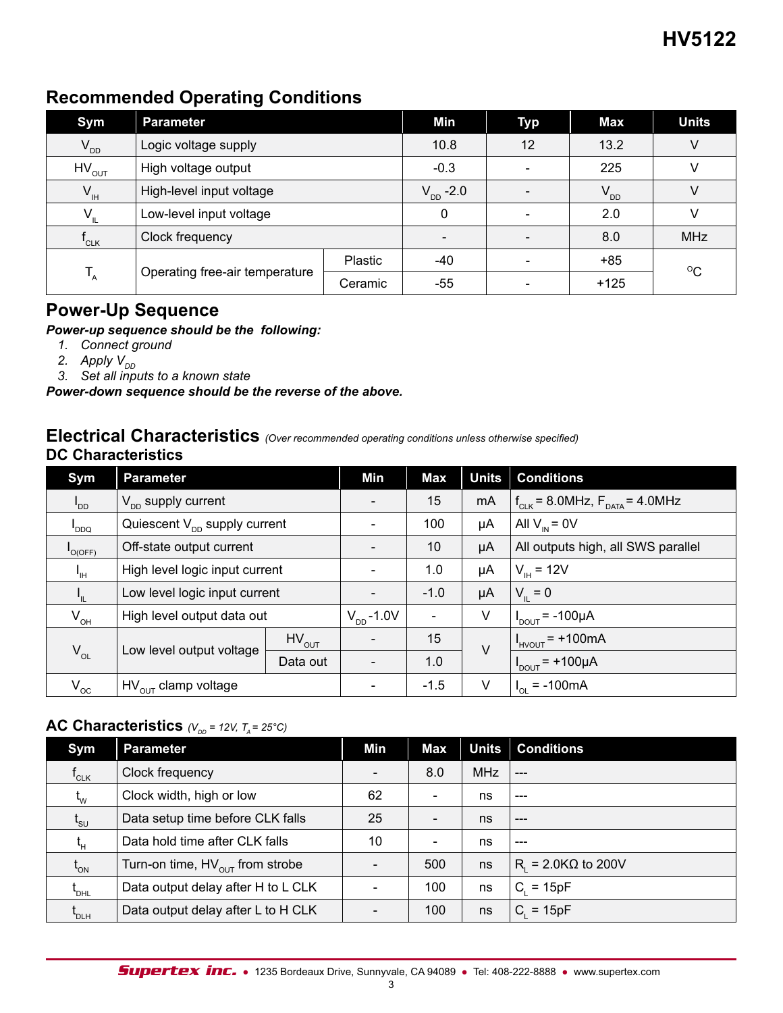## **Recommended Operating Conditions**

| Sym             | <b>Parameter</b>               |         | Min                   | <b>Typ</b> | Max      | <b>Units</b> |
|-----------------|--------------------------------|---------|-----------------------|------------|----------|--------------|
| $V_{DD}$        | Logic voltage supply           |         | 10.8                  | 12         | 13.2     | V            |
| $HV_{OUT}$      | High voltage output            |         | $-0.3$                |            | 225      |              |
| $V_{\rm IH}$    | High-level input voltage       |         | $V_{\text{DD}} - 2.0$ |            | $V_{DD}$ | V            |
| $V_{\parallel}$ | Low-level input voltage        |         | 0                     |            | 2.0      |              |
| $"$ CLK         | Clock frequency                |         |                       |            | 8.0      | <b>MHz</b>   |
| $T_{A}$         |                                | Plastic | -40                   |            | $+85$    | $\rm ^{O}C$  |
|                 | Operating free-air temperature | $-55$   |                       | $+125$     |          |              |

## **Power-Up Sequence**

#### *Power-up sequence should be the following:*

- *1. Connect ground*
- *2. Apply*  $V_{DD}$
- *3. Set all inputs to a known state*

*Power-down sequence should be the reverse of the above.*

#### **Electrical Characteristics** *(Over recommended operating conditions unless otherwise specified)* **DC Characteristics**

| Sym                            | <b>Parameter</b>                         |            | Min                      | Max            | <b>Units</b>               | <b>Conditions</b>                       |
|--------------------------------|------------------------------------------|------------|--------------------------|----------------|----------------------------|-----------------------------------------|
| $I_{DD}$                       | $V_{\text{nn}}$ supply current           |            | $\blacksquare$           | 15             | mA                         | $f_{CLK}$ = 8.0MHz, $F_{DATA}$ = 4.0MHz |
| DDQ <sup>1</sup>               | Quiescent $V_{\text{nn}}$ supply current |            |                          | 100            | μA                         | All $V_{IN} = 0V$                       |
| O(OFF)                         | Off-state output current                 |            |                          | 10             | μA                         | All outputs high, all SWS parallel      |
| Iн.                            | High level logic input current           |            | 1.0                      | μA             | $V_{\text{H}} = 12V$       |                                         |
| $I_{\scriptscriptstyle\rm IL}$ | Low level logic input current            |            | $\overline{\phantom{a}}$ | $-1.0$         | μA                         | $V_{\parallel} = 0$                     |
| $\mathsf{V}_{\mathsf{OH}}$     | High level output data out               |            | $V_{\text{DD}}$ -1.0V    | $\blacksquare$ | V                          | $I_{\text{DOUT}}$ = -100µA              |
|                                |                                          | $HV_{OUT}$ |                          | 15             | $\vee$                     | $I_{HVOUT}$ = +100mA                    |
| $V_{OL}$                       | Low level output voltage                 | Data out   | $\blacksquare$           | 1.0            |                            | $I_{\text{DOUT}}$ = +100µA              |
| $V_{\rm oc}$                   | $HV_{OUT}$ clamp voltage                 |            | $-1.5$                   | V              | $= -100mA$<br>$I_{\Omega}$ |                                         |

#### **AC Characteristics**  $(V_{\text{op}} = 12V, T_a = 25^{\circ}C)$

| <b>Sym</b>                            | <b>Parameter</b>                            | Min | Max                      | <b>Units</b> | <b>Conditions</b>     |
|---------------------------------------|---------------------------------------------|-----|--------------------------|--------------|-----------------------|
| $\mathsf{f}_{\mathsf{CLK}}$           | Clock frequency                             |     | 8.0                      | <b>MHz</b>   |                       |
| $t_{w}$                               | Clock width, high or low                    | 62  | $\overline{\phantom{a}}$ | ns           | $- - -$               |
| $\mathfrak{t}_{\mathsf{s}\mathsf{u}}$ | Data setup time before CLK falls            | 25  | $\overline{\phantom{a}}$ | ns           | $---$                 |
| $t_{\scriptscriptstyle\rm H}$         | Data hold time after CLK falls              | 10  | $\overline{\phantom{a}}$ | ns           |                       |
| $\mathfrak{t}_{_{\sf ON}}$            | Turn-on time, $HV_{\text{out}}$ from strobe |     | 500                      | ns           | $R_1$ = 2.0KΩ to 200V |
| t <sub>dhl</sub>                      | Data output delay after H to L CLK          |     | 100                      | ns           | $C_i = 15pF$          |
| t <sub>dlh</sub>                      | Data output delay after L to H CLK          |     | 100                      | ns           | $= 15pF$<br>C.        |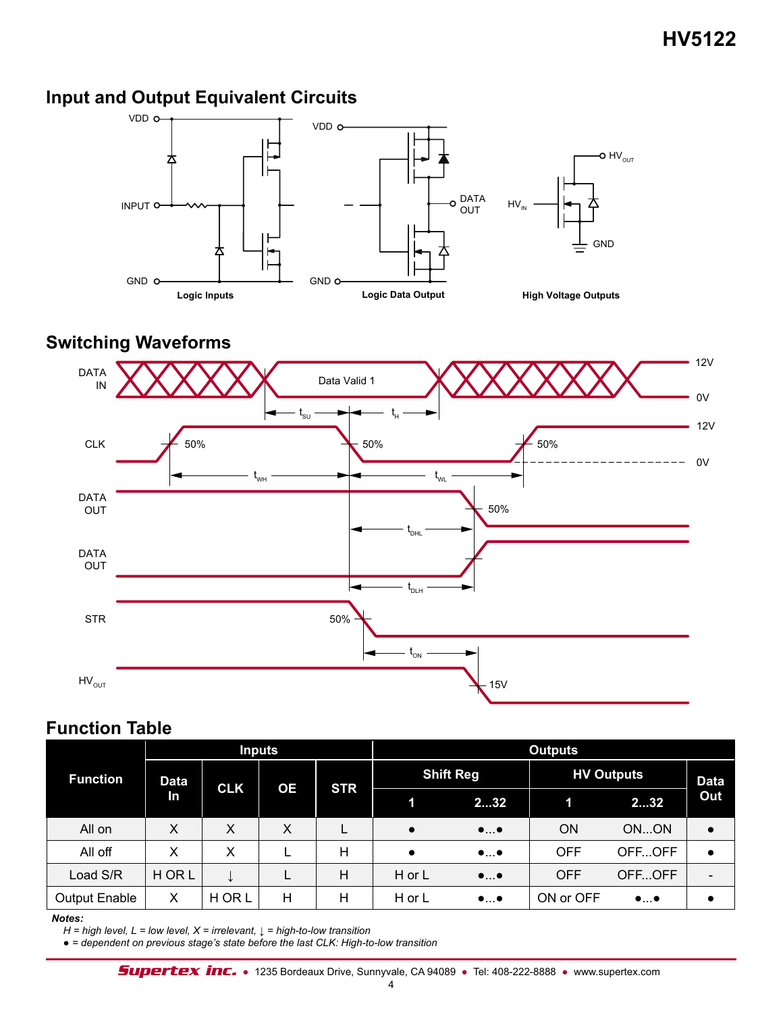## **Input and Output Equivalent Circuits**



#### **Switching Waveforms**



## **Function Table**

|                      |             |            | <b>Inputs</b> |            | <b>Outputs</b> |                          |                   |                          |             |  |
|----------------------|-------------|------------|---------------|------------|----------------|--------------------------|-------------------|--------------------------|-------------|--|
| <b>Function</b>      | <b>Data</b> |            |               |            |                | <b>Shift Reg</b>         | <b>HV Outputs</b> |                          | <b>Data</b> |  |
|                      | In          | <b>CLK</b> | ОE            | <b>STR</b> |                | 232                      |                   | 232                      | Out         |  |
| All on               | X           | X          | X             |            | $\bullet$      | $\bullet \ldots \bullet$ | <b>ON</b>         | ONON                     |             |  |
| All off              | X           | x          |               | Н          | $\bullet$      | $\bullet \ldots \bullet$ | <b>OFF</b>        | OFFOFF                   |             |  |
| Load S/R             | <b>HORL</b> |            |               | Η          | H or L         | $\bullet \ldots \bullet$ | <b>OFF</b>        | OFFOFF                   |             |  |
| <b>Output Enable</b> | X           | H OR L     | Н             | Н          | H or L         | $\bullet \ldots \bullet$ | ON or OFF         | $\bullet \ldots \bullet$ |             |  |

#### *Notes:*

*H = high level, L = low level, X = irrelevant, ↓ = high-to-low transition*

● *= dependent on previous stage's state before the last CLK: High-to-low transition*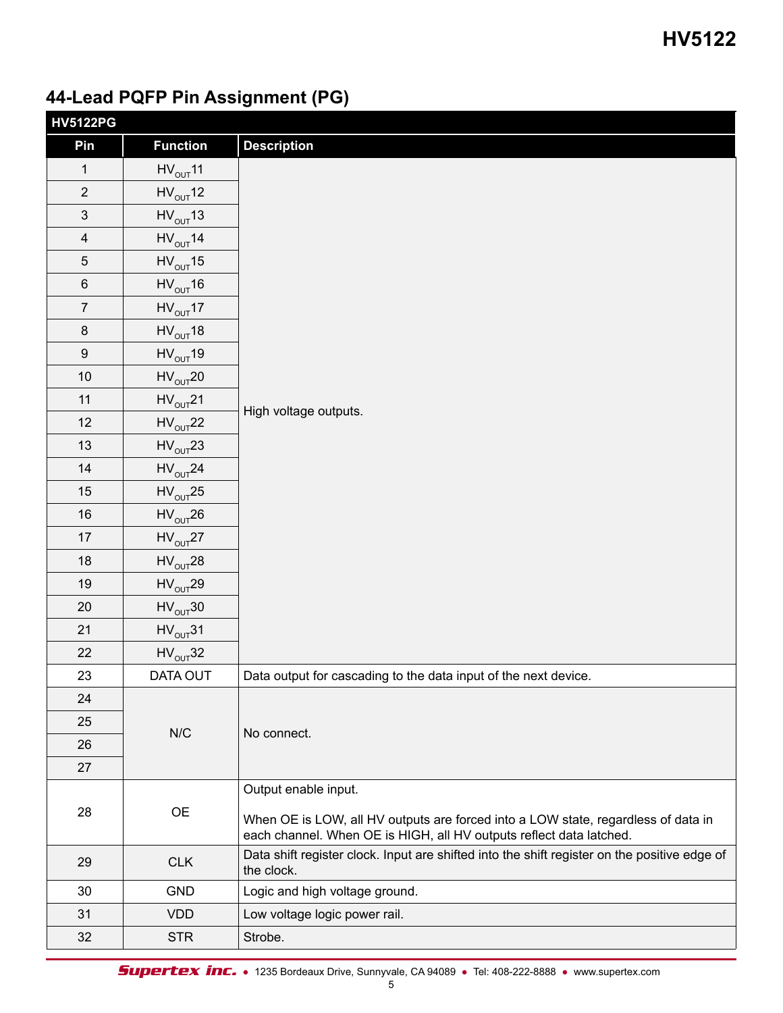# **44-Lead PQFP Pin Assignment (PG)**

| <b>HV5122PG</b> |                                 |                                                                                                                                                          |
|-----------------|---------------------------------|----------------------------------------------------------------------------------------------------------------------------------------------------------|
| Pin             | <b>Function</b>                 | <b>Description</b>                                                                                                                                       |
| 1               | $HV_{OUT}11$                    |                                                                                                                                                          |
| $\overline{2}$  | $HV_{OUT}12$                    |                                                                                                                                                          |
| $\mathfrak{S}$  | $HV_{OUT}13$                    |                                                                                                                                                          |
| $\overline{4}$  | $HV_{OUT}$ 14                   |                                                                                                                                                          |
| $5\phantom{.0}$ | $HV_{OUT}15$                    |                                                                                                                                                          |
| 6               | $HV_{OUT}16$                    |                                                                                                                                                          |
| $\overline{7}$  | $HV_{OUT}17$                    |                                                                                                                                                          |
| 8               | $HV_{OUT}18$                    |                                                                                                                                                          |
| 9               | $HV_{OUT}19$                    |                                                                                                                                                          |
| 10              | $HV_{OUT}$ 20                   |                                                                                                                                                          |
| 11              | $HV_{OUT}$ 21                   | High voltage outputs.                                                                                                                                    |
| 12              | $HV_{OUT}$ 22                   |                                                                                                                                                          |
| 13              | $HV_{OUT}$ 23                   |                                                                                                                                                          |
| 14              | $HV_{OUT}$ 24                   |                                                                                                                                                          |
| 15              | $HV_{OUT}25$                    |                                                                                                                                                          |
| 16              | $\mathsf{HV}_{\mathsf{OUT}}$ 26 |                                                                                                                                                          |
| 17              | $HV_{OUT}27$                    |                                                                                                                                                          |
| 18              | $HV_{OUT}$ 28                   |                                                                                                                                                          |
| 19              | $\mathsf{HV}_{\mathsf{OUT}}$ 29 |                                                                                                                                                          |
| 20              | $HV_{OUT}30$                    |                                                                                                                                                          |
| 21              | $HV_{OUT}31$                    |                                                                                                                                                          |
| 22              | $HV_{OUT}32$                    |                                                                                                                                                          |
| 23              | DATA OUT                        | Data output for cascading to the data input of the next device.                                                                                          |
| 24              |                                 |                                                                                                                                                          |
| 25              | N/C                             | No connect.                                                                                                                                              |
| 26              |                                 |                                                                                                                                                          |
| 27              |                                 |                                                                                                                                                          |
|                 |                                 | Output enable input.                                                                                                                                     |
| 28              | <b>OE</b>                       | When OE is LOW, all HV outputs are forced into a LOW state, regardless of data in<br>each channel. When OE is HIGH, all HV outputs reflect data latched. |
| 29              | <b>CLK</b>                      | Data shift register clock. Input are shifted into the shift register on the positive edge of<br>the clock.                                               |
| 30              | <b>GND</b>                      | Logic and high voltage ground.                                                                                                                           |
| 31              | <b>VDD</b>                      | Low voltage logic power rail.                                                                                                                            |
| 32              | <b>STR</b>                      | Strobe.                                                                                                                                                  |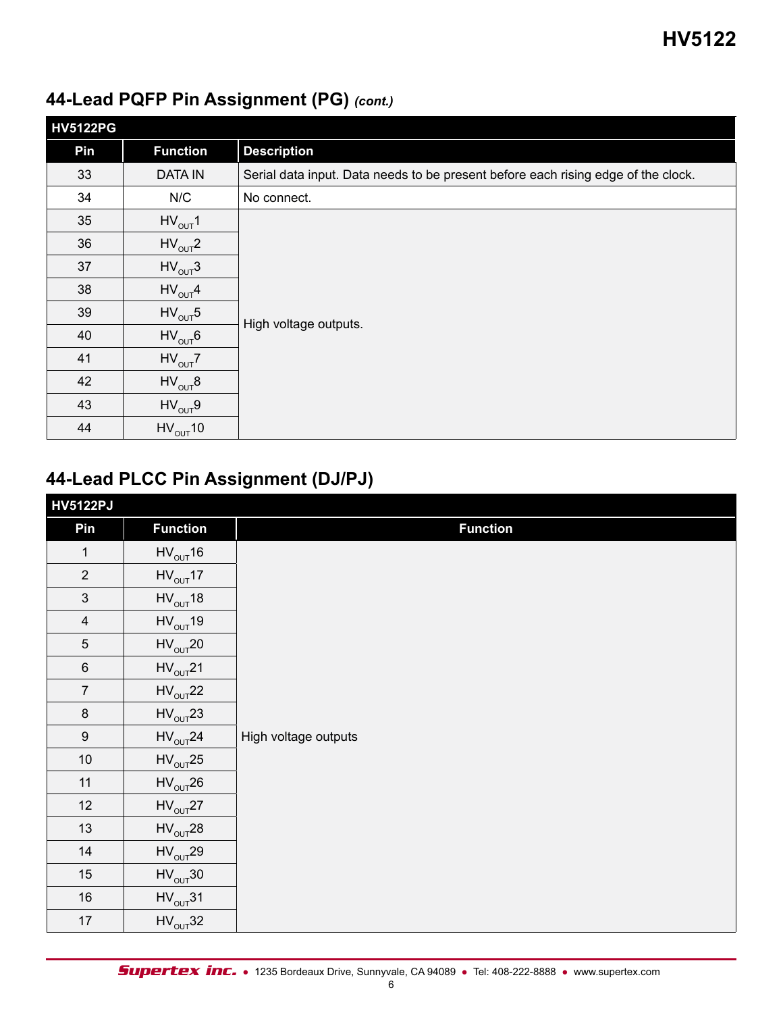| <b>HV5122PG</b> |                                        |                                                                                   |
|-----------------|----------------------------------------|-----------------------------------------------------------------------------------|
| Pin             | <b>Function</b>                        | <b>Description</b>                                                                |
| 33              | <b>DATA IN</b>                         | Serial data input. Data needs to be present before each rising edge of the clock. |
| 34              | N/C                                    | No connect.                                                                       |
| 35              | $HV_{OUT}1$                            |                                                                                   |
| 36              | $HV_{OUT}2$                            |                                                                                   |
| 37              | $HV_{OUT}3$                            |                                                                                   |
| 38              | $HV_{OUT}4$                            |                                                                                   |
| 39              | $HV_{OUT}5$                            | High voltage outputs.                                                             |
| 40              | $HV_{OUT}6$                            |                                                                                   |
| 41              | $HV_{OUT}Z$                            |                                                                                   |
| 42              | $\mathsf{HV}_{\mathsf{OUT}}\mathsf{8}$ |                                                                                   |
| 43              | $HV_{OUT}9$                            |                                                                                   |
| 44              | $HV_{OUT}10$                           |                                                                                   |

## **44-Lead PQFP Pin Assignment (PG)** *(cont.)*

## **44-Lead PLCC Pin Assignment (DJ/PJ)**

| <b>HV5122PJ</b>           |                 |                      |
|---------------------------|-----------------|----------------------|
| Pin                       | <b>Function</b> | <b>Function</b>      |
| $\mathbf{1}$              | $HV_{OUT}16$    |                      |
| $\overline{2}$            | $HV_{OUT}17$    |                      |
| $\ensuremath{\mathsf{3}}$ | $HV_{OUT}18$    |                      |
| $\overline{4}$            | $HV_{OUT}19$    |                      |
| $\sqrt{5}$                | $HV_{OUT}$ 20   |                      |
| $\,6$                     | $HV_{OUT}$ 21   |                      |
| $\overline{7}$            | $HV_{OUT}22$    |                      |
| $\bf 8$                   | $HV_{OUT}23$    |                      |
| $\boldsymbol{9}$          | $HV_{OUT}$ 24   | High voltage outputs |
| $10\,$                    | $HV_{OUT}25$    |                      |
| 11                        | $HV_{OUT}$ 26   |                      |
| $12$                      | $HV_{OUT}27$    |                      |
| $13$                      | $HV_{OUT}28$    |                      |
| 14                        | $HV_{OUT}29$    |                      |
| $15$                      | $HV_{OUT}30$    |                      |
| $16\,$                    | $HV_{OUT}31$    |                      |
| 17                        | $HV_{OUT}32$    |                      |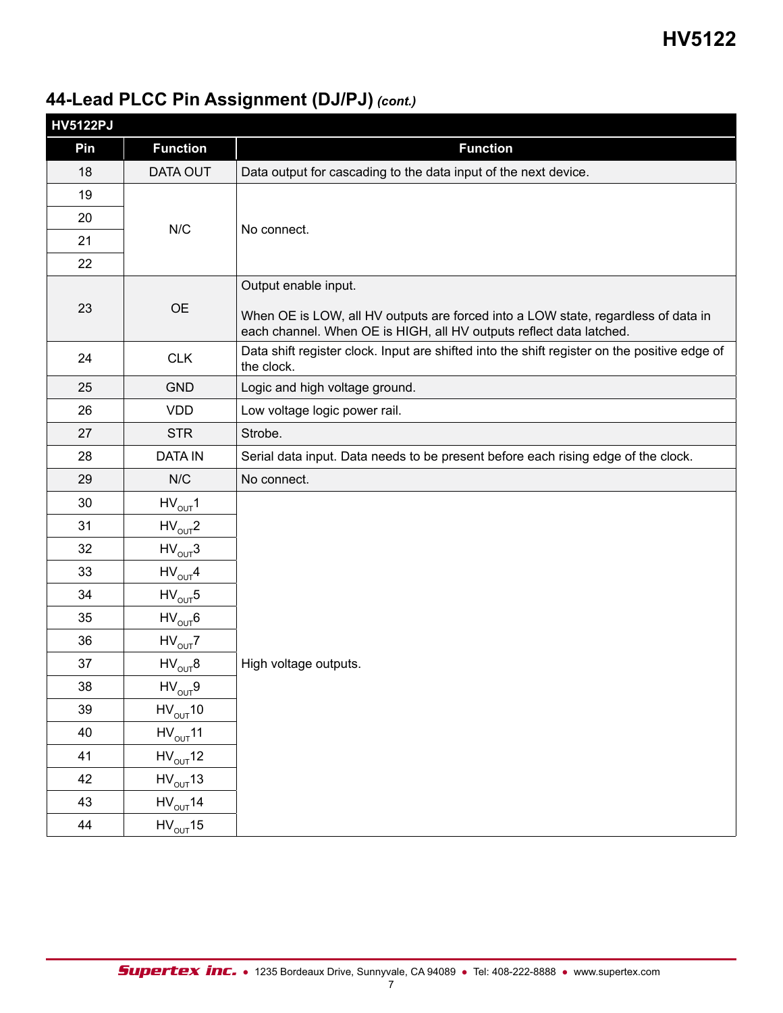## **44-Lead PLCC Pin Assignment (DJ/PJ)** *(cont.)*

| <b>HV5122PJ</b> |                                        |                                                                                                                                                                                  |
|-----------------|----------------------------------------|----------------------------------------------------------------------------------------------------------------------------------------------------------------------------------|
| Pin             | <b>Function</b>                        | <b>Function</b>                                                                                                                                                                  |
| 18              | DATA OUT                               | Data output for cascading to the data input of the next device.                                                                                                                  |
| 19              |                                        |                                                                                                                                                                                  |
| 20              |                                        |                                                                                                                                                                                  |
| 21              | N/C                                    | No connect.                                                                                                                                                                      |
| 22              |                                        |                                                                                                                                                                                  |
| 23              | <b>OE</b>                              | Output enable input.<br>When OE is LOW, all HV outputs are forced into a LOW state, regardless of data in<br>each channel. When OE is HIGH, all HV outputs reflect data latched. |
| 24              | <b>CLK</b>                             | Data shift register clock. Input are shifted into the shift register on the positive edge of<br>the clock.                                                                       |
| 25              | <b>GND</b>                             | Logic and high voltage ground.                                                                                                                                                   |
| 26              | <b>VDD</b>                             | Low voltage logic power rail.                                                                                                                                                    |
| 27              | <b>STR</b>                             | Strobe.                                                                                                                                                                          |
| 28              | <b>DATA IN</b>                         | Serial data input. Data needs to be present before each rising edge of the clock.                                                                                                |
| 29              | N/C                                    | No connect.                                                                                                                                                                      |
| 30              | $HV_{OUT}1$                            |                                                                                                                                                                                  |
| 31              | $HV_{OUT}2$                            |                                                                                                                                                                                  |
| 32              | $HV_{OUT}3$                            |                                                                                                                                                                                  |
| 33              | $HV_{OUT}4$                            |                                                                                                                                                                                  |
| 34              | $HV_{OUT}5$                            |                                                                                                                                                                                  |
| 35              | $HV_{OUT}6$                            |                                                                                                                                                                                  |
| 36              | $HV_{OUT}Z$                            |                                                                                                                                                                                  |
| 37              | $\mathsf{HV}_{\mathsf{OUT}}\mathsf{8}$ | High voltage outputs.                                                                                                                                                            |
| 38              | $HV_{OUT}9$                            |                                                                                                                                                                                  |
| 39              | $HV_{OUT}10$                           |                                                                                                                                                                                  |
| 40              | $HV_{OUT}11$                           |                                                                                                                                                                                  |
| 41              | $HV_{OUT}12$                           |                                                                                                                                                                                  |
| 42              | $HV_{OUT}13$                           |                                                                                                                                                                                  |
| 43              | $HV_{OUT}14$                           |                                                                                                                                                                                  |
| 44              | $HV_{OUT}15$                           |                                                                                                                                                                                  |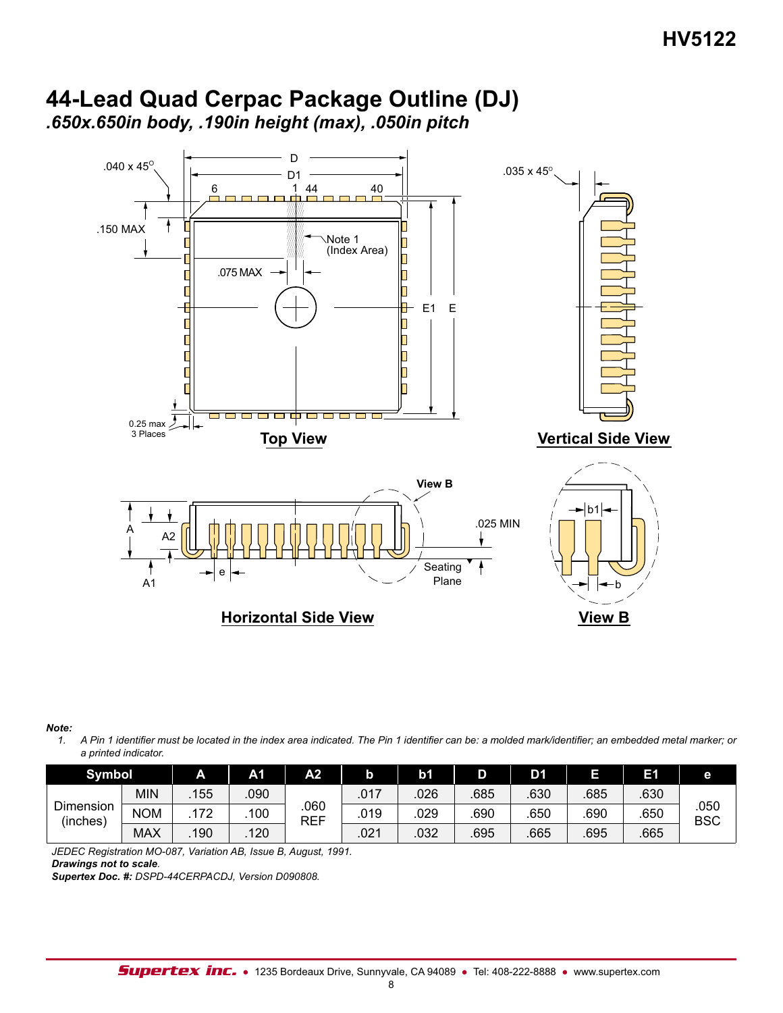## **44-Lead Quad Cerpac Package Outline (DJ)** *.650x.650in body, .190in height (max), .050in pitch*



*Note:*

*1. A Pin 1 identifier must be located in the index area indicated. The Pin 1 identifier can be: a molded mark/identifier; an embedded metal marker; or a printed indicator.*

| <b>Symbol</b>         |            |     | A <sub>1</sub> | A2          |      | b <sub>1</sub> | D    | D1  | ı<br>- | Ħ    | е                  |
|-----------------------|------------|-----|----------------|-------------|------|----------------|------|-----|--------|------|--------------------|
|                       | <b>MIN</b> | 155 | .090           |             | .017 | 026            | 685  | 630 | 685    | 630  |                    |
| Dimension<br>(inches) | <b>NOM</b> | 72  | 100            | .060<br>REF | .019 | .029           | .690 | 650 | 690    | .650 | .050<br><b>BSC</b> |
|                       | <b>MAX</b> | 190 | 120            |             | .021 | .032           | .695 | 665 | 695    | .665 |                    |

*JEDEC Registration MO-087, Variation AB, Issue B, August, 1991.* 

*Drawings not to scale.*

*Supertex Doc. #: DSPD-44CERPACDJ, Version D090808.*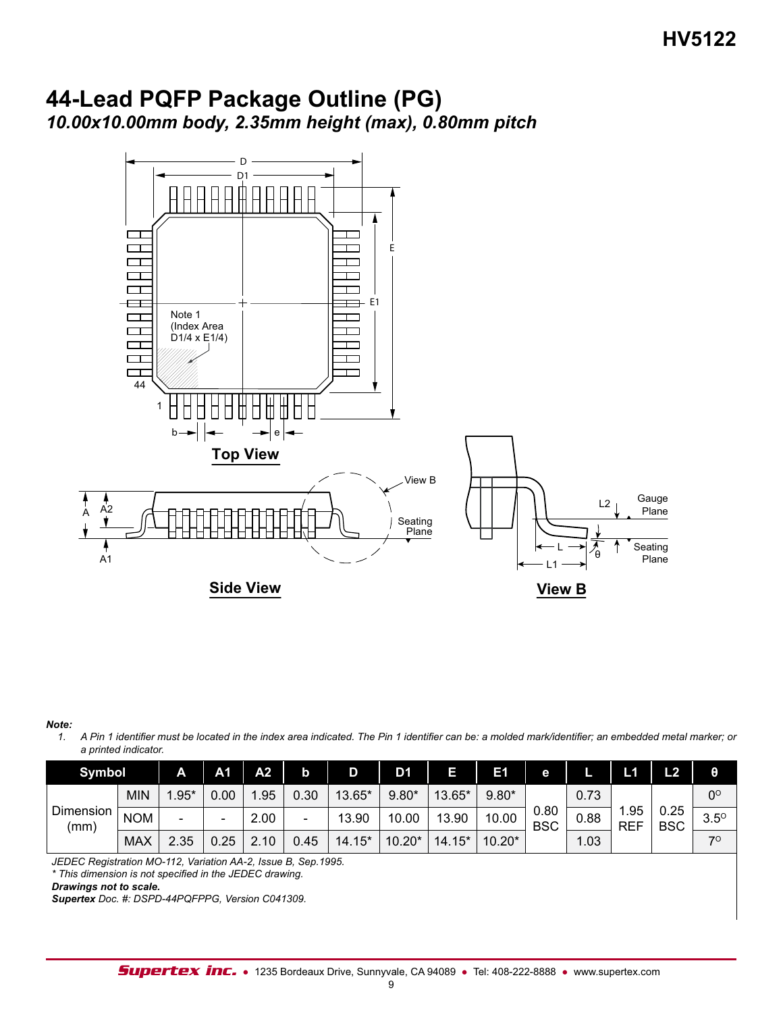## **44-Lead PQFP Package Outline (PG)** *10.00x10.00mm body, 2.35mm height (max), 0.80mm pitch*



*Note:*

*1. A Pin 1 identifier must be located in the index area indicated. The Pin 1 identifier can be: a molded mark/identifier; an embedded metal marker; or a printed indicator.*

| <b>Symbol</b>     |            | A                        | A1   | A <sub>2</sub> | b    |        | D1       |          | E1       | е                  |      | L1                 | L2                 | θ           |
|-------------------|------------|--------------------------|------|----------------|------|--------|----------|----------|----------|--------------------|------|--------------------|--------------------|-------------|
| Dimension<br>(mm) | MIN        | $.95*$                   | 0.00 | .95            | 0.30 | 13.65* | $9.80*$  | 13.65*   | $9.80*$  |                    | 0.73 |                    |                    | $0^\circ$   |
|                   | <b>NOM</b> | $\overline{\phantom{0}}$ | -    | 2.00           | -    | 13.90  | 10.00    | 13.90    | 10.00    | 0.80<br><b>BSC</b> | 0.88 | .95،<br><b>REF</b> | 0.25<br><b>BSC</b> | $3.5^\circ$ |
|                   | <b>MAX</b> | 2.35                     | 0.25 | 10             | 0.45 | 14.15* | $10.20*$ | $14.15*$ | $10.20*$ |                    | 1.03 |                    |                    | 70          |

*JEDEC Registration MO-112, Variation AA-2, Issue B, Sep.1995.*

*\* This dimension is not specified in the JEDEC drawing.*

*Drawings not to scale.*

*Supertex Doc. #: DSPD-44PQFPPG, Version C041309.*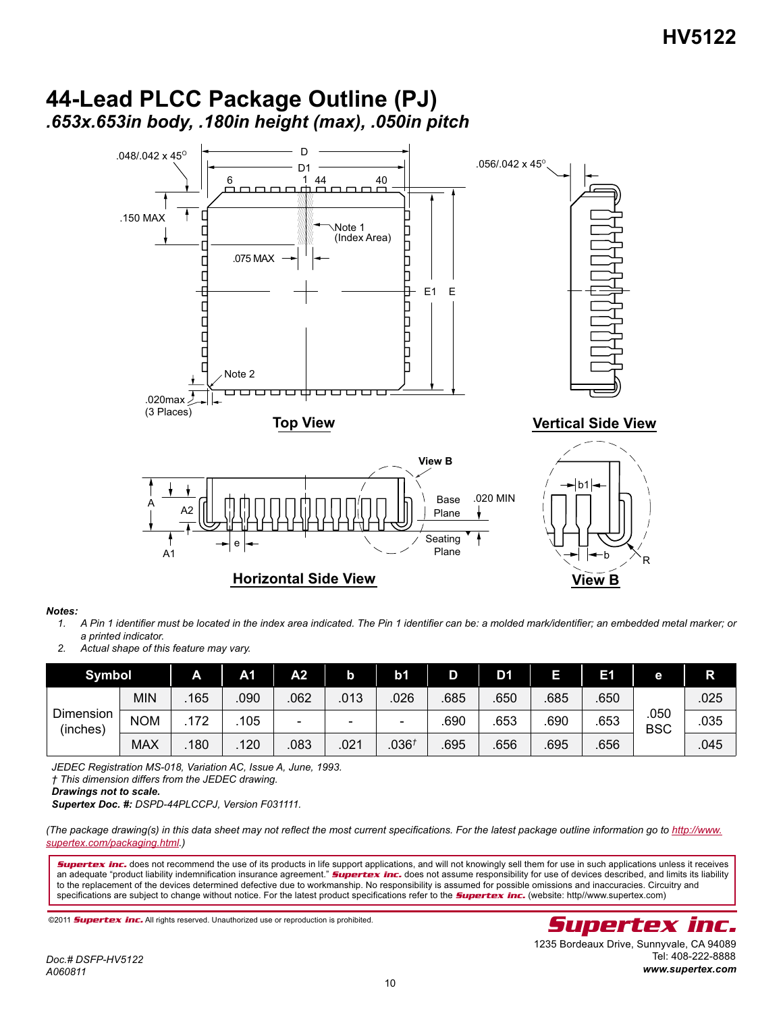

## **44-Lead PLCC Package Outline (PJ)** *.653x.653in body, .180in height (max), .050in pitch*

*Notes:*

*1. A Pin 1 identifier must be located in the index area indicated. The Pin 1 identifier can be: a molded mark/identifier; an embedded metal marker; or a printed indicator.*

*2. Actual shape of this feature may vary.*

| <b>Symbol</b>         |            | Α   | A <sub>1</sub> | А2                           | b    | b <sub>1</sub>           | D    | D1   | J   | Е1   | e                  | R    |
|-----------------------|------------|-----|----------------|------------------------------|------|--------------------------|------|------|-----|------|--------------------|------|
| Dimension<br>(inches) | MIN        | 165 | 090            | 062                          | .013 | 026                      | 685  | .650 | 685 | .650 | .050<br><b>BSC</b> | .025 |
|                       | <b>NOM</b> | 172 | 105            | $\qquad \qquad \blacksquare$ | -    | $\overline{\phantom{0}}$ | .690 | 653  | 690 | .653 |                    | .035 |
|                       | <b>MAX</b> | 180 | 120            | .083                         | .021 | .036 <sup>†</sup>        | .695 | .656 | 695 | .656 |                    | .045 |

*JEDEC Registration MS-018, Variation AC, Issue A, June, 1993.* 

*† This dimension differs from the JEDEC drawing.*

*Drawings not to scale.*

*Supertex Doc. #: DSPD-44PLCCPJ, Version F031111.*

(The package drawing(s) in this data sheet may not reflect the most current specifications. For the latest package outline information go to http://www. *supertex.com/packaging.html.)*

*Supertex inc.* does not recommend the use of its products in life support applications, and will not knowingly sell them for use in such applications unless it receives an adequate "product liability indemnification insurance agreement." **Supertex inc.** does not assume responsibility for use of devices described, and limits its liability to the replacement of the devices determined defective due to workmanship. No responsibility is assumed for possible omissions and inaccuracies. Circuitry and specifications are subject to change without notice. For the latest product specifications refer to the *Supertex inc.* (website: http//www.supertex.com)

Tel: 408-222-8888 *www.supertex.com*